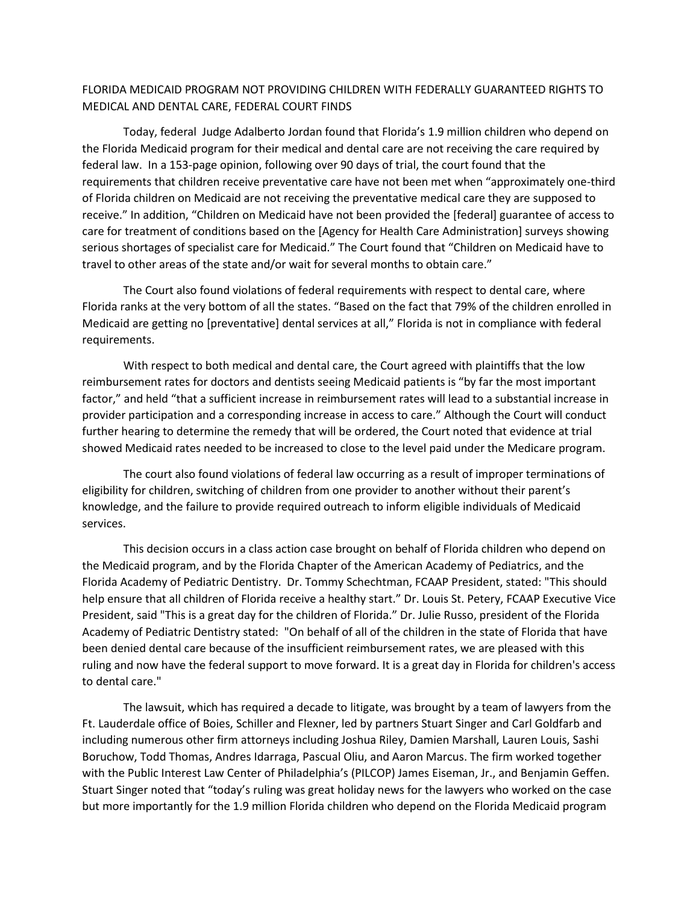## FLORIDA MEDICAID PROGRAM NOT PROVIDING CHILDREN WITH FEDERALLY GUARANTEED RIGHTS TO MEDICAL AND DENTAL CARE, FEDERAL COURT FINDS

Today, federal Judge Adalberto Jordan found that Florida's 1.9 million children who depend on the Florida Medicaid program for their medical and dental care are not receiving the care required by federal law. In a 153-page opinion, following over 90 days of trial, the court found that the requirements that children receive preventative care have not been met when "approximately one-third of Florida children on Medicaid are not receiving the preventative medical care they are supposed to receive." In addition, "Children on Medicaid have not been provided the [federal] guarantee of access to care for treatment of conditions based on the [Agency for Health Care Administration] surveys showing serious shortages of specialist care for Medicaid." The Court found that "Children on Medicaid have to travel to other areas of the state and/or wait for several months to obtain care."

The Court also found violations of federal requirements with respect to dental care, where Florida ranks at the very bottom of all the states. "Based on the fact that 79% of the children enrolled in Medicaid are getting no [preventative] dental services at all," Florida is not in compliance with federal requirements.

With respect to both medical and dental care, the Court agreed with plaintiffs that the low reimbursement rates for doctors and dentists seeing Medicaid patients is "by far the most important factor," and held "that a sufficient increase in reimbursement rates will lead to a substantial increase in provider participation and a corresponding increase in access to care." Although the Court will conduct further hearing to determine the remedy that will be ordered, the Court noted that evidence at trial showed Medicaid rates needed to be increased to close to the level paid under the Medicare program.

The court also found violations of federal law occurring as a result of improper terminations of eligibility for children, switching of children from one provider to another without their parent's knowledge, and the failure to provide required outreach to inform eligible individuals of Medicaid services.

This decision occurs in a class action case brought on behalf of Florida children who depend on the Medicaid program, and by the Florida Chapter of the American Academy of Pediatrics, and the Florida Academy of Pediatric Dentistry. Dr. Tommy Schechtman, FCAAP President, stated: "This should help ensure that all children of Florida receive a healthy start." Dr. Louis St. Petery, FCAAP Executive Vice President, said "This is a great day for the children of Florida." Dr. Julie Russo, president of the Florida Academy of Pediatric Dentistry stated: "On behalf of all of the children in the state of Florida that have been denied dental care because of the insufficient reimbursement rates, we are pleased with this ruling and now have the federal support to move forward. It is a great day in Florida for children's access to dental care."

The lawsuit, which has required a decade to litigate, was brought by a team of lawyers from the Ft. Lauderdale office of Boies, Schiller and Flexner, led by partners Stuart Singer and Carl Goldfarb and including numerous other firm attorneys including Joshua Riley, Damien Marshall, Lauren Louis, Sashi Boruchow, Todd Thomas, Andres Idarraga, Pascual Oliu, and Aaron Marcus. The firm worked together with the Public Interest Law Center of Philadelphia's (PILCOP) James Eiseman, Jr., and Benjamin Geffen. Stuart Singer noted that "today's ruling was great holiday news for the lawyers who worked on the case but more importantly for the 1.9 million Florida children who depend on the Florida Medicaid program